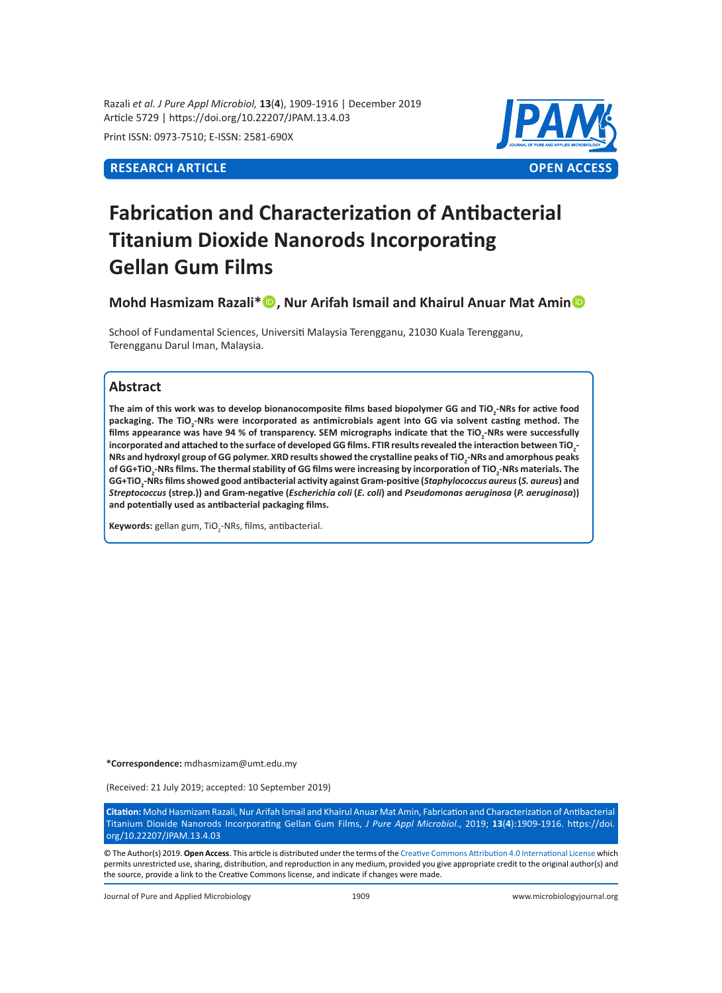Razali *et al. J Pure Appl Microbiol,* **13**(**4**), 1909-1916 | December 2019 Article 5729 | https://doi.org/10.22207/JPAM.13.4.03

Print ISSN: 0973-7510; E-ISSN: 2581-690X



# **Fabrication and Characterization of Antibacterial Titanium Dioxide Nanorods Incorporating Gellan Gum Films**

**Mohd Hasmizam Razali\*, Nur Arifah Ismail and Khairul Anuar Mat Amin**

School of Fundamental Sciences, Universiti Malaysia Terengganu, 21030 Kuala Terengganu, Terengganu Darul Iman, Malaysia.

## **Abstract**

**The aim of this work was to develop bionanocomposite films based biopolymer GG and TiO<sup>2</sup> -NRs for active food packaging. The TiO<sup>2</sup> -NRs were incorporated as antimicrobials agent into GG via solvent casting method. The films appearance was have 94 % of transparency. SEM micrographs indicate that the TiO<sup>2</sup> -NRs were successfully incorporated and attached to the surface of developed GG films. FTIR results revealed the interaction between TiO<sup>2</sup> - NRs and hydroxyl group of GG polymer. XRD results showed the crystalline peaks of TiO<sup>2</sup> -NRs and amorphous peaks of GG+TiO<sup>2</sup> -NRs films. The thermal stability of GG films were increasing by incorporation of TiO<sup>2</sup> -NRs materials. The GG+TiO<sup>2</sup> -NRs films showed good antibacterial activity against Gram-positive (***Staphylococcus aureus* **(***S. aureus***) and**  *Streptococcus* **(strep.)) and Gram-negative (***Escherichia coli* **(***E. coli***) and** *Pseudomonas aeruginosa* **(***P. aeruginosa***)) and potentially used as antibacterial packaging films.** 

**Keywords:** gellan gum, TiO<sub>2</sub>-NRs, films, antibacterial.

**\*Correspondence:** mdhasmizam@umt.edu.my

(Received: 21 July 2019; accepted: 10 September 2019)

**Citation:** Mohd Hasmizam Razali, Nur Arifah Ismail and Khairul Anuar Mat Amin, Fabrication and Characterization of Antibacterial Titanium Dioxide Nanorods Incorporating Gellan Gum Films, *J Pure Appl Microbiol*., 2019; **13**(**4**):1909-1916. https://doi. org/10.22207/JPAM.13.4.03

© The Author(s) 2019. **Open Access**. This article is distributed under the terms of the [Creative Commons Attribution 4.0 International License](https://creativecommons.org/licenses/by/4.0/) which permits unrestricted use, sharing, distribution, and reproduction in any medium, provided you give appropriate credit to the original author(s) and the source, provide a link to the Creative Commons license, and indicate if changes were made.

Journal of Pure and Applied Microbiology 1909 www.microbiologyjournal.org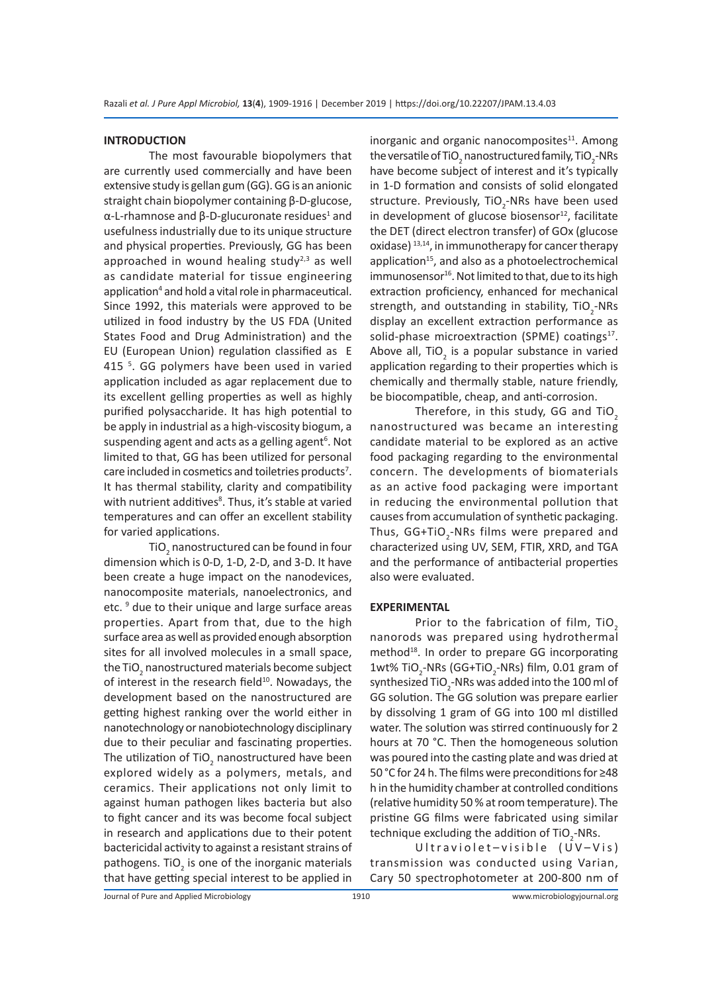#### **INTRODUCTION**

The most favourable biopolymers that are currently used commercially and have been extensive study is gellan gum (GG). GG is an anionic straight chain biopolymer containing β-D-glucose, α-L-rhamnose and β-D-glucuronate residues<sup>1</sup> and usefulness industrially due to its unique structure and physical properties. Previously, GG has been approached in wound healing study $^{2,3}$  as well as candidate material for tissue engineering application<sup>4</sup> and hold a vital role in pharmaceutical. Since 1992, this materials were approved to be utilized in food industry by the US FDA (United States Food and Drug Administration) and the EU (European Union) regulation classified as E 415<sup>5</sup>. GG polymers have been used in varied application included as agar replacement due to its excellent gelling properties as well as highly purified polysaccharide. It has high potential to be apply in industrial as a high-viscosity biogum, a suspending agent and acts as a gelling agent<sup>6</sup>. Not limited to that, GG has been utilized for personal care included in cosmetics and toiletries products<sup>7</sup>. It has thermal stability, clarity and compatibility with nutrient additives<sup>8</sup>. Thus, it's stable at varied temperatures and can offer an excellent stability for varied applications.

TiO $_2$  nanostructured can be found in four dimension which is 0-D, 1-D, 2-D, and 3-D. It have been create a huge impact on the nanodevices, nanocomposite materials, nanoelectronics, and etc.<sup>9</sup> due to their unique and large surface areas properties. Apart from that, due to the high surface area as well as provided enough absorption sites for all involved molecules in a small space, the TiO<sub>2</sub> nanostructured materials become subject of interest in the research field<sup>10</sup>. Nowadays, the development based on the nanostructured are getting highest ranking over the world either in nanotechnology or nanobiotechnology disciplinary due to their peculiar and fascinating properties. The utilization of TiO<sub>2</sub> nanostructured have been explored widely as a polymers, metals, and ceramics. Their applications not only limit to against human pathogen likes bacteria but also to fight cancer and its was become focal subject in research and applications due to their potent bactericidal activity to against a resistant strains of pathogens. TiO<sub>2</sub> is one of the inorganic materials that have getting special interest to be applied in

inorganic and organic nanocomposites $11$ . Among the versatile of TiO<sub>2</sub> nanostructured family, TiO<sub>2</sub>-NRs have become subject of interest and it's typically in 1-D formation and consists of solid elongated structure. Previously, TiO<sub>2</sub>-NRs have been used in development of glucose biosensor $12$ , facilitate the DET (direct electron transfer) of GOx (glucose oxidase)  $13,14$ , in immunotherapy for cancer therapy application<sup>15</sup>, and also as a photoelectrochemical immunosensor<sup>16</sup>. Not limited to that, due to its high extraction proficiency, enhanced for mechanical strength, and outstanding in stability, TiO<sub>2</sub>-NRs display an excellent extraction performance as solid-phase microextraction (SPME) coatings<sup>17</sup>. Above all, TiO<sub>2</sub> is a popular substance in varied application regarding to their properties which is chemically and thermally stable, nature friendly, be biocompatible, cheap, and anti-corrosion.

Therefore, in this study, GG and TiO<sub>2</sub> nanostructured was became an interesting candidate material to be explored as an active food packaging regarding to the environmental concern. The developments of biomaterials as an active food packaging were important in reducing the environmental pollution that causes from accumulation of synthetic packaging. Thus, GG+TiO<sub>2</sub>-NRs films were prepared and characterized using UV, SEM, FTIR, XRD, and TGA and the performance of antibacterial properties also were evaluated.

#### **EXPERIMENTAL**

Prior to the fabrication of film, TiO<sub>2</sub> nanorods was prepared using hydrothermal method<sup>18</sup>. In order to prepare GG incorporating 1wt% TiO<sub>2</sub>-NRs (GG+TiO<sub>2</sub>-NRs) film, 0.01 gram of synthesized TiO $_{{\tiny 2}}$ -NRs was added into the 100 ml of GG solution. The GG solution was prepare earlier by dissolving 1 gram of GG into 100 ml distilled water. The solution was stirred continuously for 2 hours at 70 °C. Then the homogeneous solution was poured into the casting plate and was dried at 50 °C for 24 h. The films were preconditions for ≥48 h in the humidity chamber at controlled conditions (relative humidity 50 % at room temperature). The pristine GG films were fabricated using similar technique excluding the addition of TiO<sub>2</sub>-NRs.

Ultraviolet-visible (UV-Vis) transmission was conducted using Varian, Cary 50 spectrophotometer at 200-800 nm of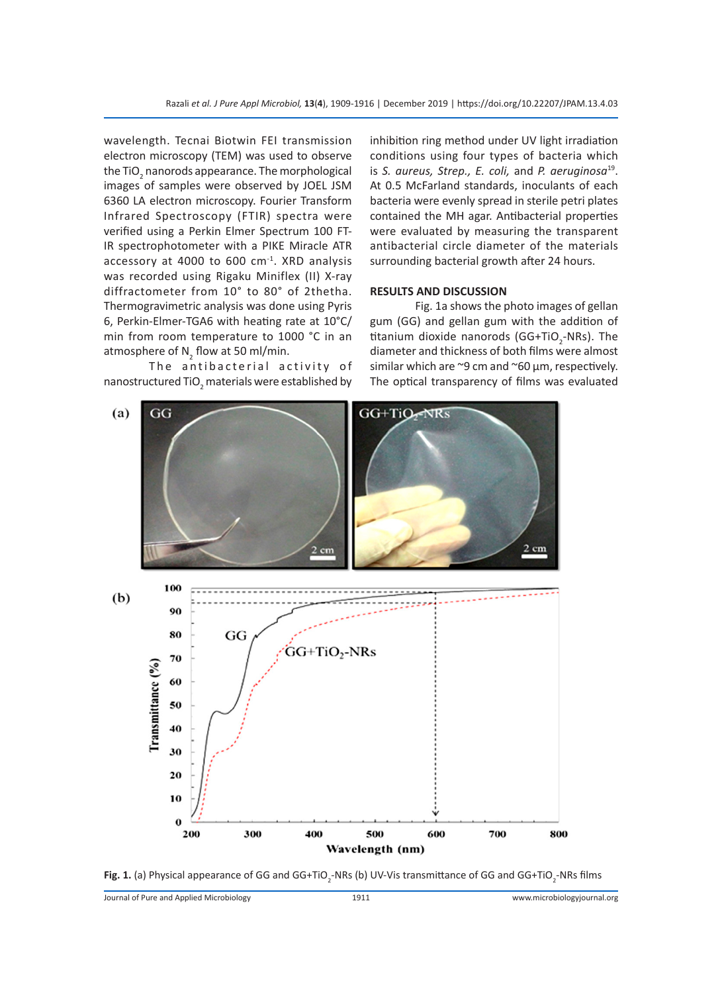wavelength. Tecnai Biotwin FEI transmission electron microscopy (TEM) was used to observe the TiO<sub>2</sub> nanorods appearance. The morphological images of samples were observed by JOEL JSM 6360 LA electron microscopy. Fourier Transform Infrared Spectroscopy (FTIR) spectra were verified using a Perkin Elmer Spectrum 100 FT-IR spectrophotometer with a PIKE Miracle ATR accessory at 4000 to 600 cm-1. XRD analysis was recorded using Rigaku Miniflex (II) X-ray diffractometer from 10° to 80° of 2thetha. Thermogravimetric analysis was done using Pyris 6, Perkin-Elmer-TGA6 with heating rate at 10°C/ min from room temperature to 1000 °C in an atmosphere of  $N_2$  flow at 50 ml/min.

The antibacterial activity of nanostructured TiO<sub>2</sub> materials were established by inhibition ring method under UV light irradiation conditions using four types of bacteria which is *S. aureus, Strep., E. coli,* and *P. aeruginosa*19. At 0.5 McFarland standards, inoculants of each bacteria were evenly spread in sterile petri plates contained the MH agar. Antibacterial properties were evaluated by measuring the transparent antibacterial circle diameter of the materials surrounding bacterial growth after 24 hours.

#### **RESULTS AND DISCUSSION**

Fig. 1a shows the photo images of gellan gum (GG) and gellan gum with the addition of titanium dioxide nanorods (GG+TiO<sub>2</sub>-NRs). The diameter and thickness of both films were almost similar which are ~9 cm and ~60 μm, respectively. The optical transparency of films was evaluated



**Fig. 1.** (a) Physical appearance of GG and GG+TiO<sub>2</sub>-NRs (b) UV-Vis transmittance of GG and GG+TiO<sub>2</sub>-NRs films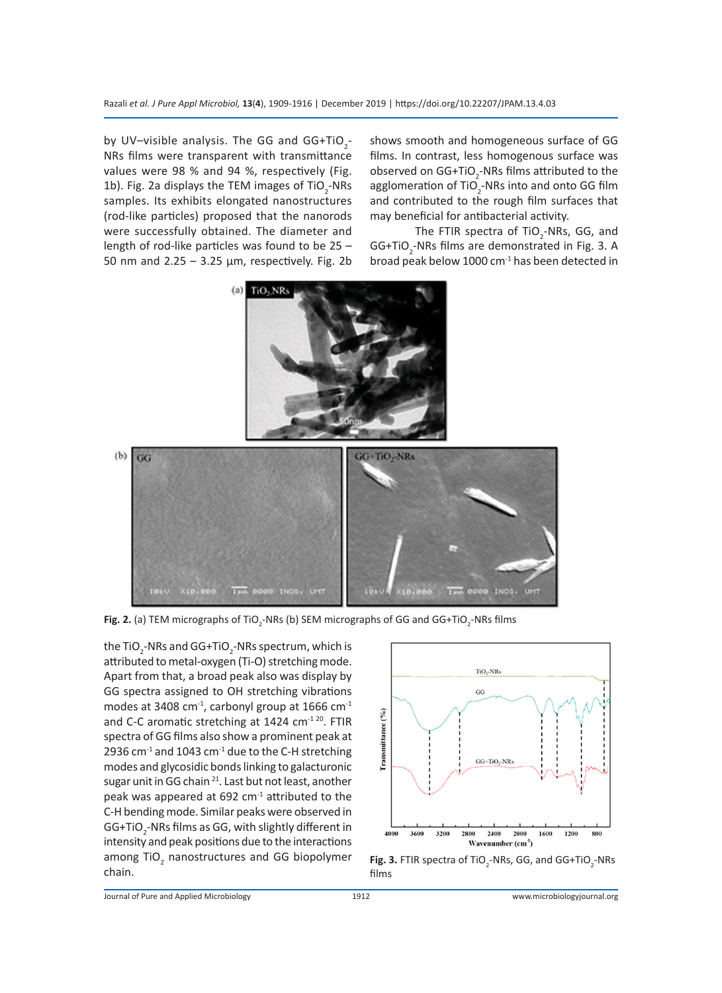by UV-visible analysis. The GG and  $GG+TiO_2-$ NRs films were transparent with transmittance values were 98 % and 94 %, respectively (Fig. 1b). Fig. 2a displays the TEM images of  $TiO_2$ -NRs samples. Its exhibits elongated nanostructures (rod-like particles) proposed that the nanorods were successfully obtained. The diameter and length of rod-like particles was found to be 25 – 50 nm and  $2.25 - 3.25$  µm, respectively. Fig. 2b

shows smooth and homogeneous surface of GG films. In contrast, less homogenous surface was observed on GG+TiO<sub>2</sub>-NRs films attributed to the agglomeration of TiO<sub>2</sub>-NRs into and onto GG film and contributed to the rough film surfaces that may beneficial for antibacterial activity.

The FTIR spectra of TiO<sub>2</sub>-NRs, GG, and GG+TiO<sub>2</sub>-NRs films are demonstrated in Fig. 3. A broad peak below 1000  $cm<sup>-1</sup>$  has been detected in



**Fig. 2.** (a) TEM micrographs of TiO<sub>2</sub>-NRs (b) SEM micrographs of GG and GG+TiO<sub>2</sub>-NRs films

the TiO<sub>2</sub>-NRs and GG+TiO<sub>2</sub>-NRs spectrum, which is attributed to metal-oxygen (Ti-O) stretching mode. Apart from that, a broad peak also was display by GG spectra assigned to OH stretching vibrations modes at 3408 cm<sup>-1</sup>, carbonyl group at 1666 cm<sup>-1</sup> and C-C aromatic stretching at  $1424$  cm<sup>-1 20</sup>. FTIR spectra of GG films also show a prominent peak at 2936 cm $^{-1}$  and 1043 cm $^{-1}$  due to the C-H stretching modes and glycosidic bonds linking to galacturonic sugar unit in GG chain <sup>21</sup>. Last but not least, another peak was appeared at  $692 \text{ cm}^{-1}$  attributed to the C-H bending mode. Similar peaks were observed in GG+TiO<sub>2</sub>-NRs films as GG, with slightly different in intensity and peak positions due to the interactions among TiO<sub>2</sub> nanostructures and GG biopolymer chain.



**Fig. 3.** FTIR spectra of TiO<sub>2</sub>-NRs, GG, and GG+TiO<sub>2</sub>-NRs films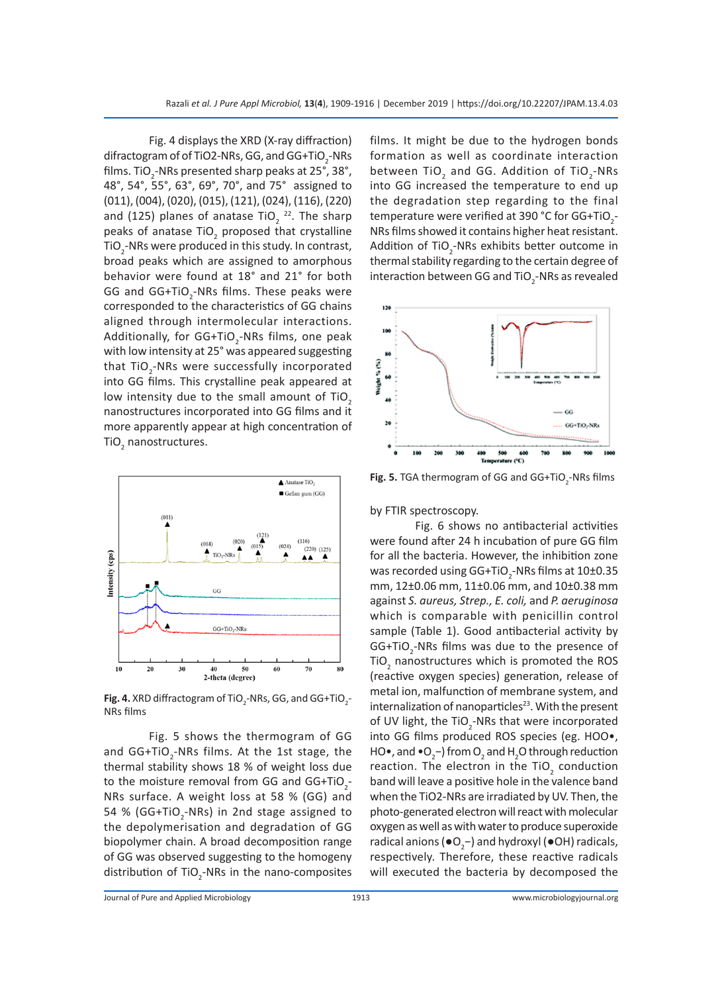Fig. 4 displays the XRD (X-ray diffraction) difractogram of of TiO2-NRs, GG, and GG+TiO<sub>2</sub>-NRs films. TiO<sub>2</sub>-NRs presented sharp peaks at 25°, 38°, 48°, 54°, 55°, 63°, 69°, 70°, and 75° assigned to (011), (004), (020), (015), (121), (024), (116), (220) and (125) planes of anatase TiO<sub>2</sub><sup>22</sup>. The sharp peaks of anatase TiO<sub>2</sub> proposed that crystalline TiO<sub>2</sub>-NRs were produced in this study. In contrast, broad peaks which are assigned to amorphous behavior were found at 18° and 21° for both GG and  $GG+TiO<sub>2</sub>$ -NRs films. These peaks were corresponded to the characteristics of GG chains aligned through intermolecular interactions. Additionally, for GG+TiO<sub>2</sub>-NRs films, one peak with low intensity at 25° was appeared suggesting that TiO<sub>2</sub>-NRs were successfully incorporated into GG films. This crystalline peak appeared at low intensity due to the small amount of TiO<sub>2</sub> nanostructures incorporated into GG films and it more apparently appear at high concentration of TiO<sub>2</sub> nanostructures.



**Fig. 4.** XRD diffractogram of TiO<sub>2</sub>-NRs, GG, and GG+TiO<sub>2</sub>-NRs films

Fig. 5 shows the thermogram of GG and  $GG+TiO_2$ -NRs films. At the 1st stage, the thermal stability shows 18 % of weight loss due to the moisture removal from GG and  $GG+TiO_2-$ NRs surface. A weight loss at 58 % (GG) and 54 % (GG+TiO<sub>2</sub>-NRs) in 2nd stage assigned to the depolymerisation and degradation of GG biopolymer chain. A broad decomposition range of GG was observed suggesting to the homogeny distribution of  $TiO<sub>2</sub>$ -NRs in the nano-composites films. It might be due to the hydrogen bonds formation as well as coordinate interaction between TiO $_2$  and GG. Addition of TiO $_2$ -NRs into GG increased the temperature to end up the degradation step regarding to the final temperature were verified at 390 °C for GG+TiO $_2$ -NRs films showed it contains higher heat resistant. Addition of TiO<sub>2</sub>-NRs exhibits better outcome in thermal stability regarding to the certain degree of interaction between GG and TiO<sub>2</sub>-NRs as revealed



**Fig. 5.** TGA thermogram of GG and GG+TiO<sub>2</sub>-NRs films

by FTIR spectroscopy.

Fig. 6 shows no antibacterial activities were found after 24 h incubation of pure GG film for all the bacteria. However, the inhibition zone was recorded using GG+TiO<sub>2</sub>-NRs films at 10±0.35 mm, 12±0.06 mm, 11±0.06 mm, and 10±0.38 mm against *S. aureus, Strep., E. coli,* and *P. aeruginosa*  which is comparable with penicillin control sample (Table 1). Good antibacterial activity by GG+TiO<sub>2</sub>-NRs films was due to the presence of TiO<sub>2</sub> nanostructures which is promoted the ROS (reactive oxygen species) generation, release of metal ion, malfunction of membrane system, and internalization of nanoparticles $23$ . With the present of UV light, the TiO<sub>2</sub>-NRs that were incorporated into GG films produced ROS species (eg. HOO•, HO•, and •O<sub>2</sub>-) from O<sub>2</sub> and H<sub>2</sub>O through reduction reaction. The electron in the TiO<sub>2</sub> conduction band will leave a positive hole in the valence band when the TiO2-NRs are irradiated by UV. Then, the photo-generated electron will react with molecular oxygen as well as with water to produce superoxide radical anions ( $\bullet$ O<sub>2</sub>-) and hydroxyl ( $\bullet$ OH) radicals, respectively. Therefore, these reactive radicals will executed the bacteria by decomposed the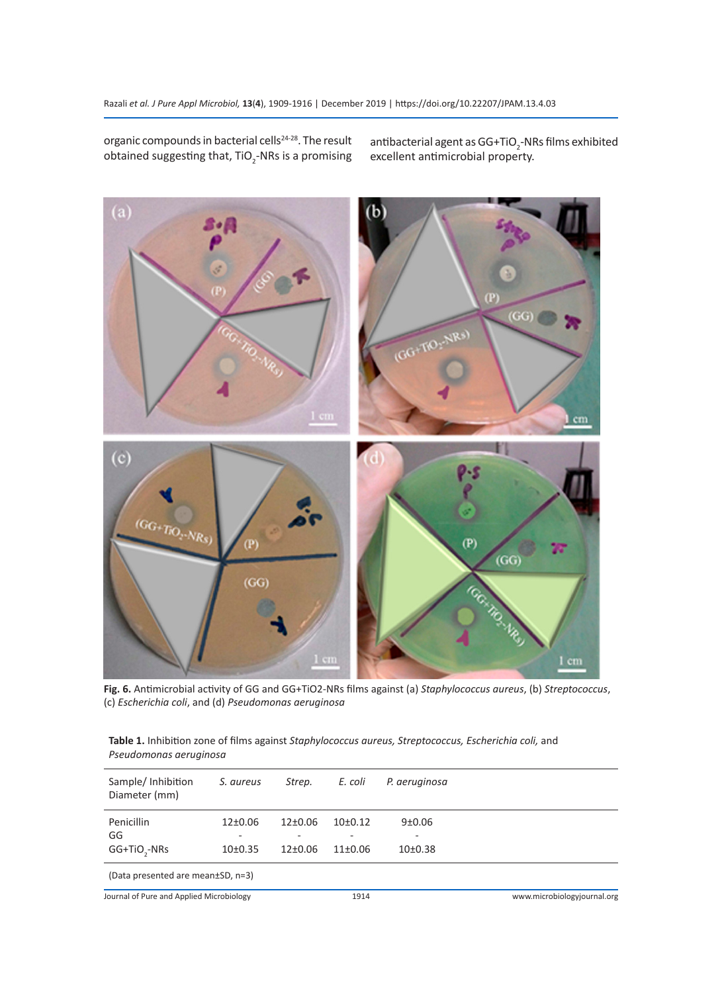organic compounds in bacterial cells<sup>24-28</sup>. The result obtained suggesting that, TiO<sub>2</sub>-NRs is a promising

antibacterial agent as GG+TiO $_2$ -NRs films exhibited excellent antimicrobial property.



**Fig. 6.** Antimicrobial activity of GG and GG+TiO2-NRs films against (a) *Staphylococcus aureus*, (b) *Streptococcus*, (c) *Escherichia coli*, and (d) *Pseudomonas aeruginosa*

**Table 1.** Inhibition zone of films against *Staphylococcus aureus, Streptococcus, Escherichia coli,* and *Pseudomonas aeruginosa*

| Sample/Inhibition<br>Diameter (mm)       | S. aureus            | Strep.           | E. coli              | P. aeruginosa             |                             |
|------------------------------------------|----------------------|------------------|----------------------|---------------------------|-----------------------------|
| Penicillin                               | 12±0.06              | $12+0.06$        | 10 <sub>±</sub> 0.12 | 9±0.06                    |                             |
| GG<br>GG+TiO <sub>3</sub> -NRs           | 10 <sub>±</sub> 0.35 | -<br>$12\pm0.06$ | $11\pm0.06$          | -<br>10 <sub>±</sub> 0.38 |                             |
| (Data presented are mean±SD, n=3)        |                      |                  |                      |                           |                             |
| Journal of Pure and Applied Microbiology |                      |                  | 1914                 |                           | www.microbiologyjournal.org |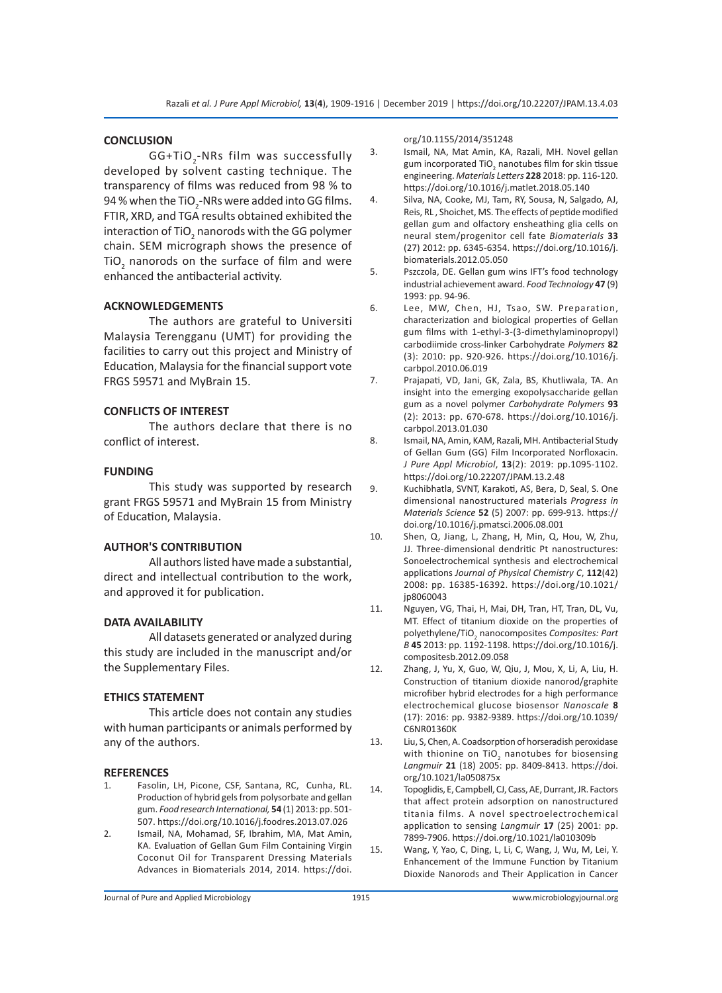#### **CONCLUSION**

GG+TiO<sub>2</sub>-NRs film was successfully developed by solvent casting technique. The transparency of films was reduced from 98 % to 94 % when the TiO $_2$ -NRs were added into GG films. FTIR, XRD, and TGA results obtained exhibited the interaction of TiO<sub>2</sub> nanorods with the GG polymer chain. SEM micrograph shows the presence of TiO<sub>2</sub> nanorods on the surface of film and were enhanced the antibacterial activity.

### **ACKNOWLEDGEMENTS**

The authors are grateful to Universiti Malaysia Terengganu (UMT) for providing the facilities to carry out this project and Ministry of Education, Malaysia for the financial support vote FRGS 59571 and MyBrain 15.

#### **CONFLICTS OF INTEREST**

The authors declare that there is no conflict of interest.

#### **FUNDING**

This study was supported by research grant FRGS 59571 and MyBrain 15 from Ministry of Education, Malaysia.

#### **AUTHOR'S CONTRIBUTION**

All authors listed have made a substantial, direct and intellectual contribution to the work, and approved it for publication.

#### **DATA AVAILABILITY**

All datasets generated or analyzed during this study are included in the manuscript and/or the Supplementary Files.

#### **ETHICS STATEMENT**

This article does not contain any studies with human participants or animals performed by any of the authors.

#### **REFERENCES**

- 1. Fasolin, LH, Picone, CSF, Santana, RC, Cunha, RL. Production of hybrid gels from polysorbate and gellan gum. *Food research International,* **54** (1) 2013: pp. 501- 507. https://doi.org/10.1016/j.foodres.2013.07.026
- 2. Ismail, NA, Mohamad, SF, Ibrahim, MA, Mat Amin, KA. Evaluation of Gellan Gum Film Containing Virgin Coconut Oil for Transparent Dressing Materials Advances in Biomaterials 2014, 2014. https://doi.

#### org/10.1155/2014/351248

- 3. Ismail, NA, Mat Amin, KA, Razali, MH. Novel gellan gum incorporated TiO<sub>2</sub> nanotubes film for skin tissue engineering. *Materials Letters* **228** 2018: pp. 116-120. https://doi.org/10.1016/j.matlet.2018.05.140
- 4. Silva, NA, Cooke, MJ, Tam, RY, Sousa, N, Salgado, AJ, Reis, RL , Shoichet, MS. The effects of peptide modified gellan gum and olfactory ensheathing glia cells on neural stem/progenitor cell fate *Biomaterials* **33** (27) 2012: pp. 6345-6354. https://doi.org/10.1016/j. biomaterials.2012.05.050
- 5. Pszczola, DE. Gellan gum wins IFT's food technology industrial achievement award. *Food Technology* **47** (9) 1993: pp. 94-96.
- 6. Lee, MW, Chen, HJ, Tsao, SW. Preparation, characterization and biological properties of Gellan gum films with 1-ethyl-3-(3-dimethylaminopropyl) carbodiimide cross-linker Carbohydrate *Polymers* **82**  (3): 2010: pp. 920-926. https://doi.org/10.1016/j. carbpol.2010.06.019
- 7. Prajapati, VD, Jani, GK, Zala, BS, Khutliwala, TA. An insight into the emerging exopolysaccharide gellan gum as a novel polymer *Carbohydrate Polymers* **93**  (2): 2013: pp. 670-678. https://doi.org/10.1016/j. carbpol.2013.01.030
- 8. Ismail, NA, Amin, KAM, Razali, MH. Antibacterial Study of Gellan Gum (GG) Film Incorporated Norfloxacin. *J Pure Appl Microbiol*, **13**(2): 2019: pp.1095-1102. https://doi.org/10.22207/JPAM.13.2.48
- 9. Kuchibhatla, SVNT, Karakoti, AS, Bera, D, Seal, S. One dimensional nanostructured materials *Progress in Materials Science* **52** (5) 2007: pp. 699-913. https:// doi.org/10.1016/j.pmatsci.2006.08.001
- 10. Shen, Q, Jiang, L, Zhang, H, Min, Q, Hou, W, Zhu, JJ. Three-dimensional dendritic Pt nanostructures: Sonoelectrochemical synthesis and electrochemical applications *Journal of Physical Chemistry C*, **112**(42) 2008: pp. 16385-16392. https://doi.org/10.1021/ jp8060043
- 11. Nguyen, VG, Thai, H, Mai, DH, Tran, HT, Tran, DL, Vu, MT. Effect of titanium dioxide on the properties of polyethylene/TiO<sub>2</sub> nanocomposites *Composites: Part B* **45** 2013: pp. 1192-1198. https://doi.org/10.1016/j. compositesb.2012.09.058
- 12. Zhang, J, Yu, X, Guo, W, Qiu, J, Mou, X, Li, A, Liu, H. Construction of titanium dioxide nanorod/graphite microfiber hybrid electrodes for a high performance electrochemical glucose biosensor *Nanoscale* **8**  (17): 2016: pp. 9382-9389. https://doi.org/10.1039/ C6NR01360K
- 13. Liu, S, Chen, A. Coadsorption of horseradish peroxidase with thionine on TiO<sub>2</sub> nanotubes for biosensing *Langmuir* **21** (18) 2005: pp. 8409-8413. https://doi. org/10.1021/la050875x
- 14. Topoglidis, E, Campbell, CJ, Cass, AE, Durrant, JR. Factors that affect protein adsorption on nanostructured titania films. A novel spectroelectrochemical application to sensing *Langmuir* **17** (25) 2001: pp. 7899-7906. https://doi.org/10.1021/la010309b
- 15. Wang, Y, Yao, C, Ding, L, Li, C, Wang, J, Wu, M, Lei, Y. Enhancement of the Immune Function by Titanium Dioxide Nanorods and Their Application in Cancer